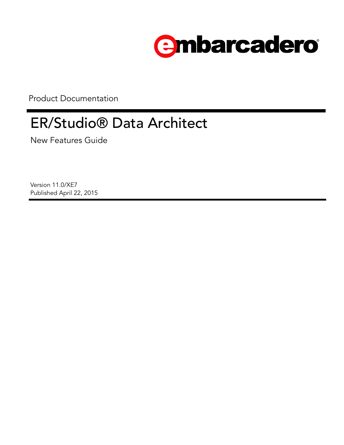

Product Documentation

# ER/Studio® Data Architect

New Features Guide

Version 11.0/XE7 Published April 22, 2015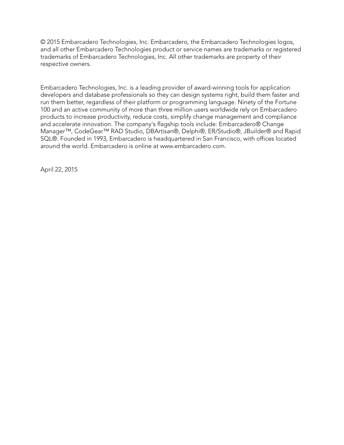© 2015 Embarcadero Technologies, Inc. Embarcadero, the Embarcadero Technologies logos, and all other Embarcadero Technologies product or service names are trademarks or registered trademarks of Embarcadero Technologies, Inc. All other trademarks are property of their respective owners.

Embarcadero Technologies, Inc. is a leading provider of award-winning tools for application developers and database professionals so they can design systems right, build them faster and run them better, regardless of their platform or programming language. Ninety of the Fortune 100 and an active community of more than three million users worldwide rely on Embarcadero products to increase productivity, reduce costs, simplify change management and compliance and accelerate innovation. The company's flagship tools include: Embarcadero® Change Manager™, CodeGear™ RAD Studio, DBArtisan®, Delphi®, ER/Studio®, JBuilder® and Rapid SQL®. Founded in 1993, Embarcadero is headquartered in San Francisco, with offices located around the world. Embarcadero is online at www.embarcadero.com.

April 22, 2015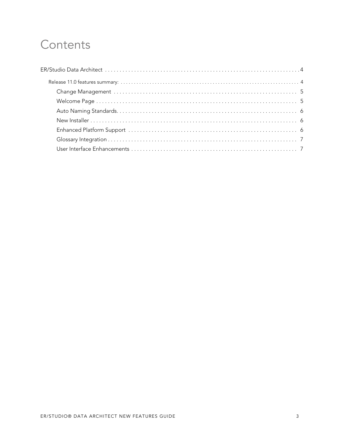# Contents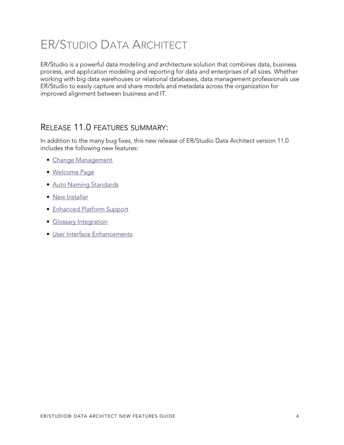# <span id="page-3-0"></span>ER/STUDIO DATA ARCHITECT

ER/Studio is a powerful data modeling and architecture solution that combines data, business process, and application modeling and reporting for data and enterprises of all sizes. Whether working with big data warehouses or relational databases, data management professionals use ER/Studio to easily capture and share models and metadata across the organization for improved alignment between business and IT.

# <span id="page-3-1"></span>RELEASE 11.0 FEATURES SUMMARY:

In addition to the many bug fixes, this new release of ER/Studio Data Architect version 11.0 includes the following new features:

- [Change Management](#page-4-0)
- [Welcome Page](#page-4-1)
- [Auto Naming Standards](#page-5-0)
- [New Installer](#page-5-1)
- [Enhanced Platform Support](#page-5-2)
- [Glossary Integration](#page-6-0)
- [User Interface Enhancements](#page-6-1)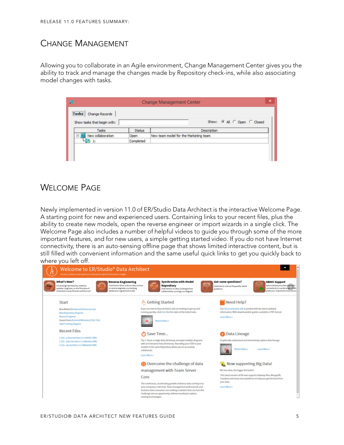# <span id="page-4-0"></span>CHANGE MANAGEMENT

Allowing you to collaborate in an Agile environment, Change Management Center gives you the ability to track and manage the changes made by Repository check-ins, while also associating model changes with tasks.

|                             |               | <b>Change Management Center</b>       |  |  |  |  |
|-----------------------------|---------------|---------------------------------------|--|--|--|--|
| Tasks Change Records        |               |                                       |  |  |  |  |
| Show tasks that begin with: |               | Show: G All C Open C Closed           |  |  |  |  |
| Tasks                       | <b>Status</b> | Description                           |  |  |  |  |
| New collaboration<br>E      | Open          | New team model for the Marketing team |  |  |  |  |
|                             | Completed     |                                       |  |  |  |  |

# <span id="page-4-1"></span>WELCOME PAGE

Newly implemented in version 11.0 of ER/Studio Data Architect is the interactive Welcome Page. A starting point for new and experienced users. Containing links to your recent files, plus the ability to create new models, open the reverse engineer or import wizards in a single click. The Welcome Page also includes a number of helpful videos to guide you through some of the more important features, and for new users, a simple getting started video. If you do not have Internet connectivity, there is an auto-sensing offline page that shows limited interactive content, but is still filled with convenient information and the same useful quick links to get you quickly back to where you left off.

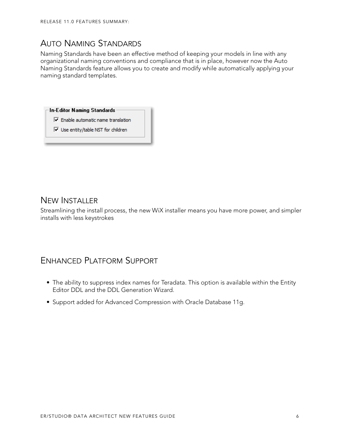# <span id="page-5-0"></span>AUTO NAMING STANDARDS

Naming Standards have been an effective method of keeping your models in line with any organizational naming conventions and compliance that is in place, however now the Auto Naming Standards feature allows you to create and modify while automatically applying your naming standard templates.

**In-Editor Naming Standards** 

- $\overline{\nabla}$  Enable automatic name translation
- $\overline{\nabla}$  Use entity/table NST for children

#### <span id="page-5-1"></span>NEW INSTALLER

Streamlining the install process, the new WiX installer means you have more power, and simpler installs with less keystrokes

### <span id="page-5-2"></span>ENHANCED PLATFORM SUPPORT

- The ability to suppress index names for Teradata. This option is available within the Entity Editor DDL and the DDL Generation Wizard.
- Support added for Advanced Compression with Oracle Database 11g.